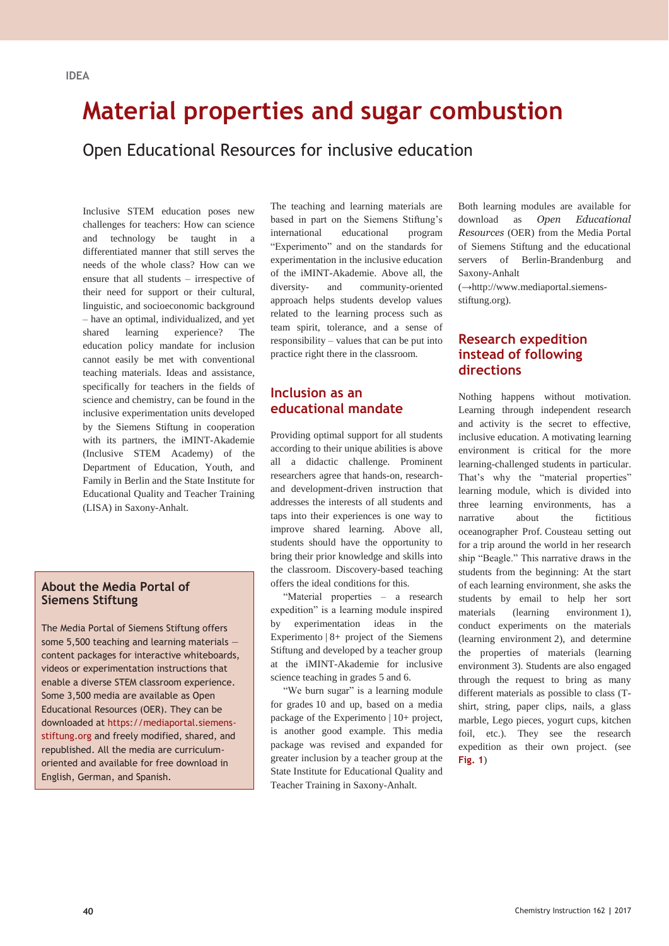## **IDEA**

# **Material properties and sugar combustion**

Open Educational Resources for inclusive education

Inclusive STEM education poses new challenges for teachers: How can science and technology be taught in a differentiated manner that still serves the needs of the whole class? How can we ensure that all students – irrespective of their need for support or their cultural, linguistic, and socioeconomic background – have an optimal, individualized, and yet shared learning experience? The education policy mandate for inclusion cannot easily be met with conventional teaching materials. Ideas and assistance, specifically for teachers in the fields of science and chemistry, can be found in the inclusive experimentation units developed by the Siemens Stiftung in cooperation with its partners, the iMINT-Akademie (Inclusive STEM Academy) of the Department of Education, Youth, and Family in Berlin and the State Institute for Educational Quality and Teacher Training (LISA) in Saxony-Anhalt.

### **About the Media Portal of Siemens Stiftung**

The Media Portal of Siemens Stiftung offers some 5,500 teaching and learning materials content packages for interactive whiteboards, videos or experimentation instructions that enable a diverse STEM classroom experience. Some 3,500 media are available as Open Educational Resources (OER). They can be downloaded at https://mediaportal.siemensstiftung.org and freely modified, shared, and republished. All the media are curriculumoriented and available for free download in English, German, and Spanish.

The teaching and learning materials are based in part on the Siemens Stiftung's international educational program "Experimento" and on the standards for experimentation in the inclusive education of the iMINT-Akademie. Above all, the diversity- and community-oriented approach helps students develop values related to the learning process such as team spirit, tolerance, and a sense of responsibility – values that can be put into practice right there in the classroom.

## **Inclusion as an educational mandate**

Providing optimal support for all students according to their unique abilities is above all a didactic challenge. Prominent researchers agree that hands-on, researchand development-driven instruction that addresses the interests of all students and taps into their experiences is one way to improve shared learning. Above all, students should have the opportunity to bring their prior knowledge and skills into the classroom. Discovery-based teaching offers the ideal conditions for this.

"Material properties – a research expedition" is a learning module inspired by experimentation ideas in the Experimento | 8+ project of the Siemens Stiftung and developed by a teacher group at the iMINT-Akademie for inclusive science teaching in grades 5 and 6.

"We burn sugar" is a learning module for grades 10 and up, based on a media package of the Experimento | 10+ project, is another good example. This media package was revised and expanded for greater inclusion by a teacher group at the State Institute for Educational Quality and Teacher Training in Saxony-Anhalt.

Both learning modules are available for download as *Open Educational Resources* (OER) from the Media Portal of Siemens Stiftung and the educational servers of Berlin-Brandenburg and Saxony-Anhalt

(**→**http://www.mediaportal.siemensstiftung.org).

## **Research expedition instead of following directions**

Nothing happens without motivation. Learning through independent research and activity is the secret to effective, inclusive education. A motivating learning environment is critical for the more learning-challenged students in particular. That's why the "material properties" learning module, which is divided into three learning environments, has a narrative about the fictitious oceanographer Prof. Cousteau setting out for a trip around the world in her research ship "Beagle." This narrative draws in the students from the beginning: At the start of each learning environment, she asks the students by email to help her sort materials (learning environment 1), conduct experiments on the materials (learning environment 2), and determine the properties of materials (learning environment 3). Students are also engaged through the request to bring as many different materials as possible to class (Tshirt, string, paper clips, nails, a glass marble, Lego pieces, yogurt cups, kitchen foil, etc.). They see the research expedition as their own project. (see **Fig. 1**)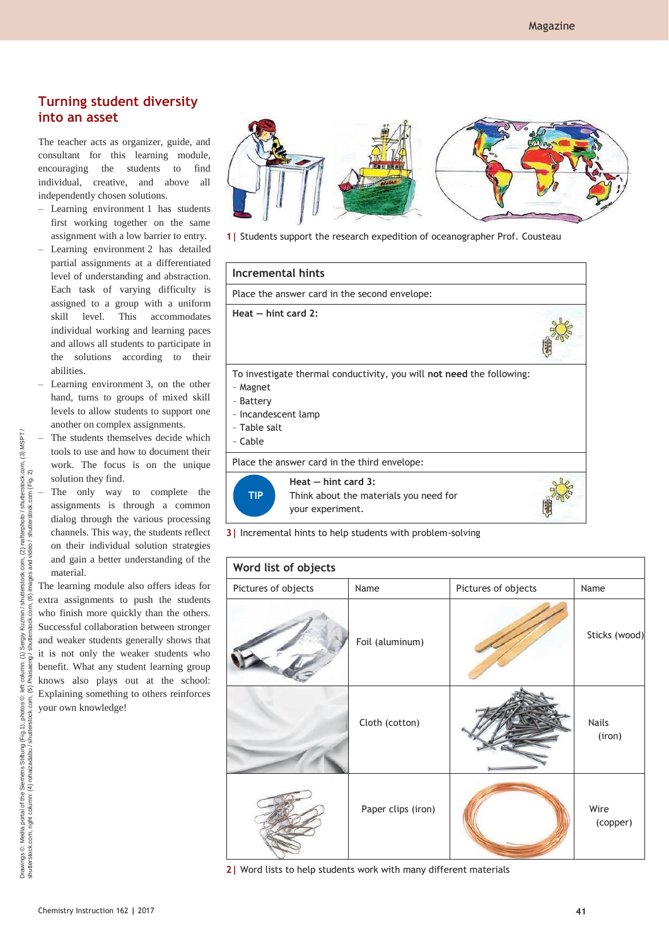## **Turning student diversity into an asset**

The teacher acts as organizer, guide, and consultant for this learning module, encouraging the students to find individual, creative, and above all independently chosen solutions.

- Learning environment 1 has students first working together on the same assignment with a low barrier to entry.
- Learning environment 2 has detailed partial assignments at a differentiated level of understanding and abstraction. Each task of varying difficulty is assigned to a group with a uniform skill level. This accommodates individual working and learning paces and allows all students to participate in the solutions according to their abilities.
- Learning environment 3, on the other hand, turns to groups of mixed skill levels to allow students to support one another on complex assignments.
- The students themselves decide which tools to use and how to document their work. The focus is on the unique solution they find.
- The only way to complete the assignments is through a common dialog through the various processing channels. This way, the students reflect on their individual solution strategies and gain a better understanding of the material.

The learning module also offers ideas for extra assignments to push the students who finish more quickly than the others. Successful collaboration between stronger and weaker students generally shows that it is not only the weaker students who benefit. What any student learning group knows also plays out at the school: Explaining something to others reinforces your own knowledge!



**1|** Students support the research expedition of oceanographer Prof. Cousteau



**3|** Incremental hints to help students with problem-solving

| Word list of objects |  |  |
|----------------------|--|--|
|                      |  |  |

| <b>WOLG LIST OF ODJECTS</b> |                    |                     |                        |
|-----------------------------|--------------------|---------------------|------------------------|
| Pictures of objects         | Name               | Pictures of objects | Name                   |
|                             | Foil (aluminum)    |                     | Sticks (wood)          |
|                             | Cloth (cotton)     |                     | <b>Nails</b><br>(iron) |
|                             | Paper clips (iron) |                     | Wire<br>(copper)       |

**2|** Word lists to help students work with many different materials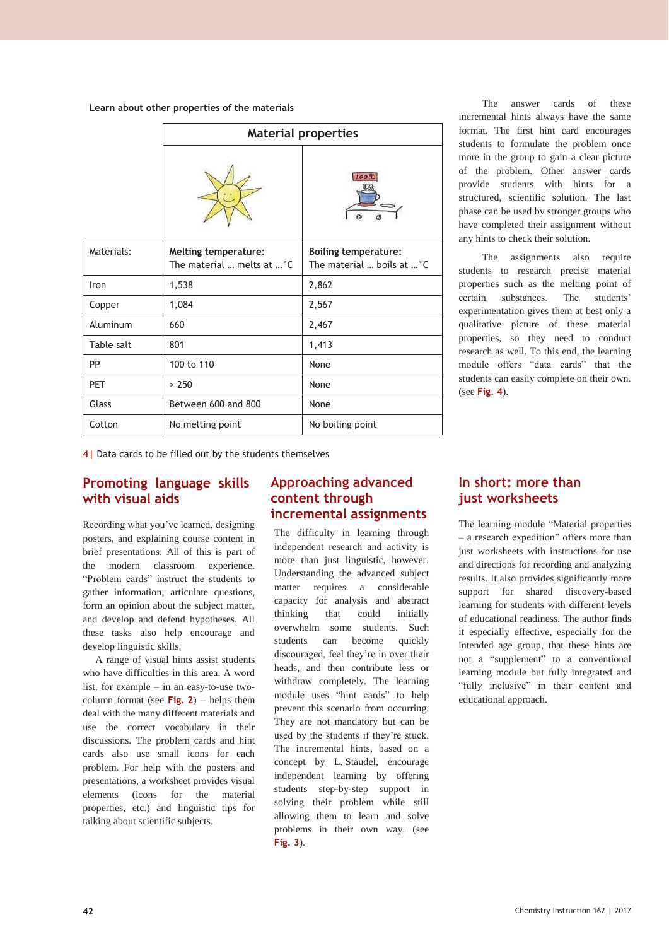#### **Learn about other properties of the materials**

|            | <b>Material properties</b>                                |                                                           |
|------------|-----------------------------------------------------------|-----------------------------------------------------------|
|            |                                                           | 100 ℃                                                     |
| Materials: | <b>Melting temperature:</b><br>The material  melts at  °C | <b>Boiling temperature:</b><br>The material  boils at  °C |
| Iron       | 1,538                                                     | 2,862                                                     |
| Copper     | 1,084                                                     | 2,567                                                     |
| Aluminum   | 660                                                       | 2,467                                                     |
| Table salt | 801                                                       | 1,413                                                     |
| PP         | 100 to 110                                                | None                                                      |
| <b>PET</b> | > 250                                                     | None                                                      |
| Glass      | Between 600 and 800                                       | None                                                      |
| Cotton     | No melting point                                          | No boiling point                                          |

The answer cards of these incremental hints always have the same format. The first hint card encourages students to formulate the problem once more in the group to gain a clear picture of the problem. Other answer cards provide students with hints for a structured, scientific solution. The last phase can be used by stronger groups who have completed their assignment without any hints to check their solution.

The assignments also require students to research precise material properties such as the melting point of certain substances. The students' experimentation gives them at best only a qualitative picture of these material properties, so they need to conduct research as well. To this end, the learning module offers "data cards" that the students can easily complete on their own. (see **Fig. 4**).

**4|** Data cards to be filled out by the students themselves

## **Promoting language skills with visual aids**

Recording what you've learned, designing posters, and explaining course content in brief presentations: All of this is part of the modern classroom experience. "Problem cards" instruct the students to gather information, articulate questions, form an opinion about the subject matter, and develop and defend hypotheses. All these tasks also help encourage and develop linguistic skills.

A range of visual hints assist students who have difficulties in this area. A word list, for example – in an easy-to-use twocolumn format (see **Fig. 2**) – helps them deal with the many different materials and use the correct vocabulary in their discussions. The problem cards and hint cards also use small icons for each problem. For help with the posters and presentations, a worksheet provides visual elements (icons for the material properties, etc.) and linguistic tips for talking about scientific subjects.

## **Approaching advanced content through incremental assignments**

The difficulty in learning through independent research and activity is more than just linguistic, however. Understanding the advanced subject matter requires a considerable capacity for analysis and abstract thinking that could initially overwhelm some students. Such students can become quickly discouraged, feel they're in over their heads, and then contribute less or withdraw completely. The learning module uses "hint cards" to help prevent this scenario from occurring. They are not mandatory but can be used by the students if they're stuck. The incremental hints, based on a concept by L. Stäudel, encourage independent learning by offering students step-by-step support in solving their problem while still allowing them to learn and solve problems in their own way. (see **Fig. 3**).

## **In short: more than just worksheets**

The learning module "Material properties – a research expedition" offers more than just worksheets with instructions for use and directions for recording and analyzing results. It also provides significantly more support for shared discovery-based learning for students with different levels of educational readiness. The author finds it especially effective, especially for the intended age group, that these hints are not a "supplement" to a conventional learning module but fully integrated and "fully inclusive" in their content and educational approach.